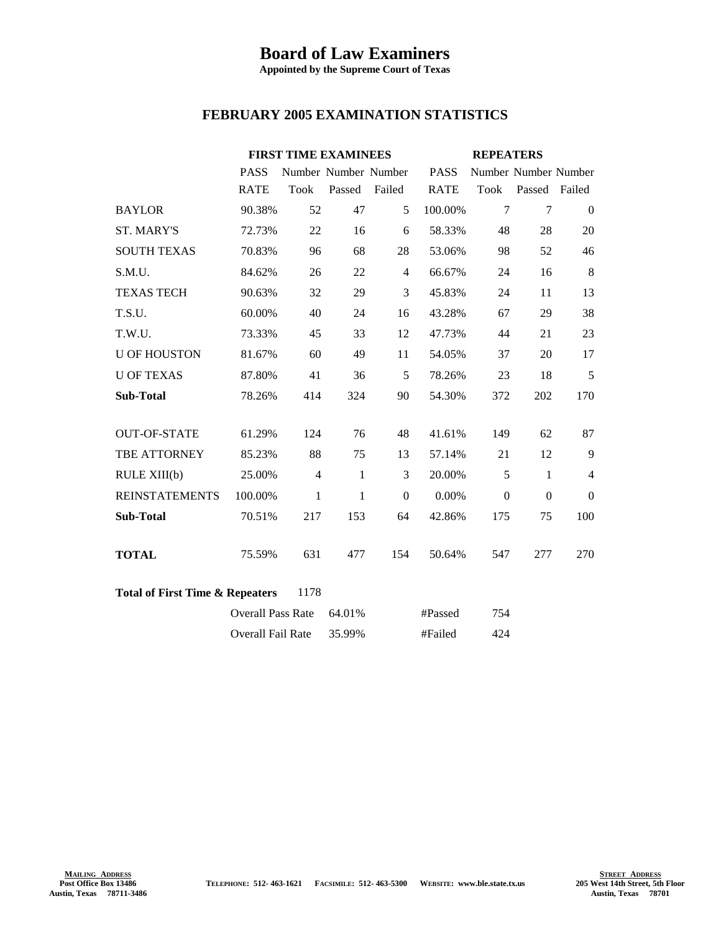## **Board of Law Examiners**

**Appointed by the Supreme Court of Texas**

## **FEBRUARY 2005 EXAMINATION STATISTICS**

|                                                    | <b>FIRST TIME EXAMINEES</b> |                |                      | <b>REPEATERS</b> |             |                  |                      |                |
|----------------------------------------------------|-----------------------------|----------------|----------------------|------------------|-------------|------------------|----------------------|----------------|
|                                                    | <b>PASS</b>                 |                | Number Number Number |                  | <b>PASS</b> |                  | Number Number Number |                |
|                                                    | <b>RATE</b>                 | Took           | Passed               | Failed           | <b>RATE</b> |                  | Took Passed Failed   |                |
| <b>BAYLOR</b>                                      | 90.38%                      | 52             | 47                   | 5                | 100.00%     | $\overline{7}$   | 7                    | $\overline{0}$ |
| <b>ST. MARY'S</b>                                  | 72.73%                      | 22             | 16                   | 6                | 58.33%      | 48               | 28                   | 20             |
| <b>SOUTH TEXAS</b>                                 | 70.83%                      | 96             | 68                   | 28               | 53.06%      | 98               | 52                   | 46             |
| S.M.U.                                             | 84.62%                      | 26             | 22                   | $\overline{4}$   | 66.67%      | 24               | 16                   | 8              |
| <b>TEXAS TECH</b>                                  | 90.63%                      | 32             | 29                   | 3                | 45.83%      | 24               | 11                   | 13             |
| T.S.U.                                             | 60.00%                      | 40             | 24                   | 16               | 43.28%      | 67               | 29                   | 38             |
| T.W.U.                                             | 73.33%                      | 45             | 33                   | 12               | 47.73%      | 44               | 21                   | 23             |
| <b>U OF HOUSTON</b>                                | 81.67%                      | 60             | 49                   | 11               | 54.05%      | 37               | 20                   | 17             |
| <b>U OF TEXAS</b>                                  | 87.80%                      | 41             | 36                   | 5                | 78.26%      | 23               | 18                   | 5              |
| <b>Sub-Total</b>                                   | 78.26%                      | 414            | 324                  | 90               | 54.30%      | 372              | 202                  | 170            |
|                                                    |                             |                |                      |                  |             |                  |                      |                |
| <b>OUT-OF-STATE</b>                                | 61.29%                      | 124            | 76                   | 48               | 41.61%      | 149              | 62                   | 87             |
| TBE ATTORNEY                                       | 85.23%                      | 88             | 75                   | 13               | 57.14%      | 21               | 12                   | 9              |
| RULE XIII(b)                                       | 25.00%                      | $\overline{4}$ | $\mathbf{1}$         | 3                | 20.00%      | 5                | $\mathbf{1}$         | $\overline{4}$ |
| <b>REINSTATEMENTS</b>                              | 100.00%                     | 1              | $\mathbf{1}$         | $\overline{0}$   | $0.00\%$    | $\boldsymbol{0}$ | $\Omega$             | $\Omega$       |
| Sub-Total                                          | 70.51%                      | 217            | 153                  | 64               | 42.86%      | 175              | 75                   | 100            |
|                                                    |                             |                |                      |                  |             |                  |                      |                |
| <b>TOTAL</b>                                       | 75.59%                      | 631            | 477                  | 154              | 50.64%      | 547              | 277                  | 270            |
|                                                    |                             |                |                      |                  |             |                  |                      |                |
| <b>Total of First Time &amp; Repeaters</b><br>1178 |                             |                |                      |                  |             |                  |                      |                |
|                                                    | <b>Overall Pass Rate</b>    |                | 64.01%               |                  | #Passed     | 754              |                      |                |
|                                                    | Overall Fail Rate           |                | 35.99%               | #Failed          |             | 424              |                      |                |